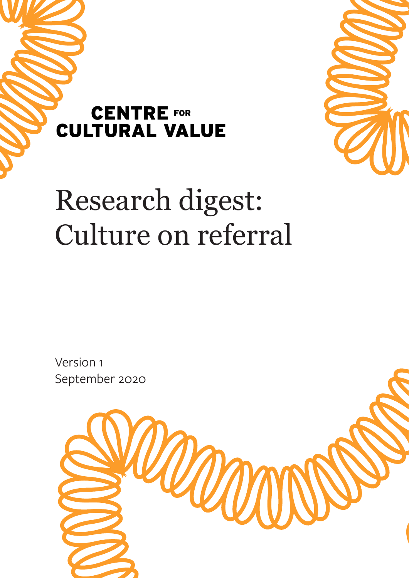



# Research digest: Culture on referral

Version 1 September 2020

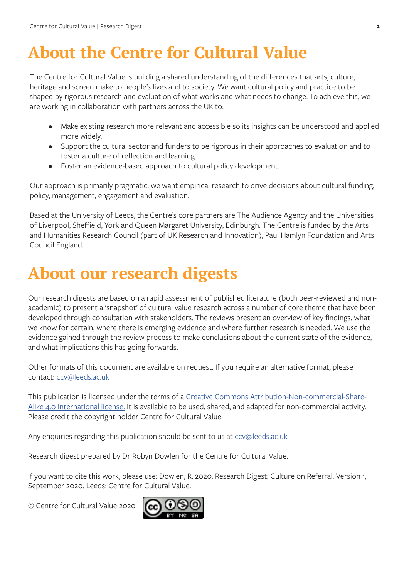### **About the Centre for Cultural Value**

The Centre for Cultural Value is building a shared understanding of the differences that arts, culture, heritage and screen make to people's lives and to society. We want cultural policy and practice to be shaped by rigorous research and evaluation of what works and what needs to change. To achieve this, we are working in collaboration with partners across the UK to:

- Make existing research more relevant and accessible so its insights can be understood and applied more widely.
- Support the cultural sector and funders to be rigorous in their approaches to evaluation and to foster a culture of reflection and learning.
- Foster an evidence-based approach to cultural policy development.

Our approach is primarily pragmatic: we want empirical research to drive decisions about cultural funding, policy, management, engagement and evaluation.

Based at the University of Leeds, the Centre's core partners are The Audience Agency and the Universities of Liverpool, Sheffield, York and Queen Margaret University, Edinburgh. The Centre is funded by the Arts and Humanities Research Council (part of UK Research and Innovation), Paul Hamlyn Foundation and Arts Council England.

### **About our research digests**

Our research digests are based on a rapid assessment of published literature (both peer-reviewed and nonacademic) to present a 'snapshot' of cultural value research across a number of core theme that have been developed through consultation with stakeholders. The reviews present an overview of key findings, what we know for certain, where there is emerging evidence and where further research is needed. We use the evidence gained through the review process to make conclusions about the current state of the evidence, and what implications this has going forwards.

Other formats of this document are available on request. If you require an alternative format, please contact: [ccv@leeds.ac.uk](mailto:ccv%40leeds.ac.uk%20%20?subject=) 

This publication is licensed under the terms of a [Creative Commons Attribution-Non-commercial-Share-](https://creativecommons.org/licenses/by-nc-sa/4.0/)[Alike 4.0 International license.](https://creativecommons.org/licenses/by-nc-sa/4.0/) It is available to be used, shared, and adapted for non-commercial activity. Please credit the copyright holder Centre for Cultural Value

Any enquiries regarding this publication should be sent to us at cov@leeds.ac.uk

Research digest prepared by Dr Robyn Dowlen for the Centre for Cultural Value.

If you want to cite this work, please use: Dowlen, R. 2020. Research Digest: Culture on Referral. Version 1, September 2020. Leeds: Centre for Cultural Value.

© Centre for Cultural Value 2020

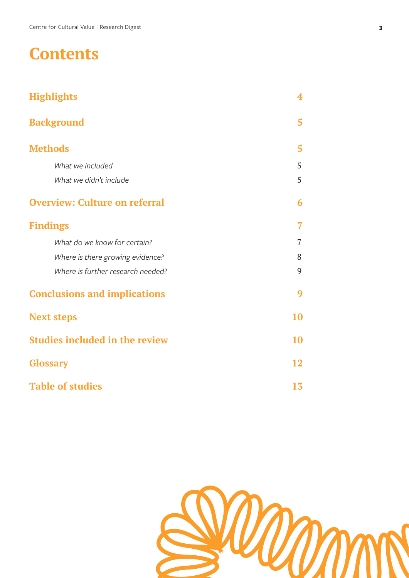#### **Contents**

| <b>Highlights</b>                     | 4              |
|---------------------------------------|----------------|
| <b>Background</b>                     | 5              |
| <b>Methods</b>                        | 5              |
| What we included                      | 5              |
| What we didn't include                | 5              |
| <b>Overview: Culture on referral</b>  | 6              |
| <b>Findings</b>                       | 7              |
| What do we know for certain?          | $\overline{7}$ |
| Where is there growing evidence?      | 8              |
| Where is further research needed?     | 9              |
| <b>Conclusions and implications</b>   | 9              |
| <b>Next steps</b>                     | <b>10</b>      |
| <b>Studies included in the review</b> |                |
| <b>Glossary</b>                       | 12             |
| <b>Table of studies</b>               |                |

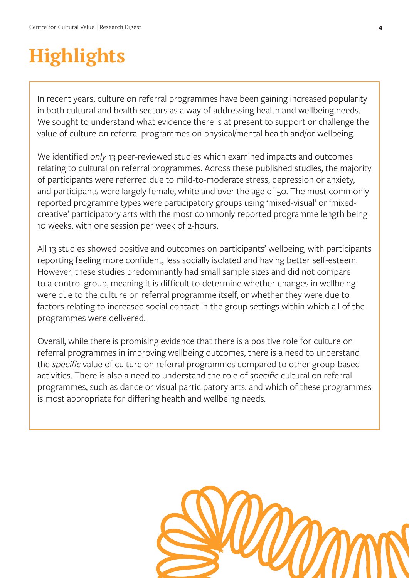# <span id="page-3-0"></span>**Highlights**

In recent years, culture on referral programmes have been gaining increased popularity in both cultural and health sectors as a way of addressing health and wellbeing needs. We sought to understand what evidence there is at present to support or challenge the value of culture on referral programmes on physical/mental health and/or wellbeing.

We identified *only* 13 peer-reviewed studies which examined impacts and outcomes relating to cultural on referral programmes. Across these published studies, the majority of participants were referred due to mild-to-moderate stress, depression or anxiety, and participants were largely female, white and over the age of 50. The most commonly reported programme types were participatory groups using 'mixed-visual' or 'mixedcreative' participatory arts with the most commonly reported programme length being 10 weeks, with one session per week of 2-hours.

All 13 studies showed positive and outcomes on participants' wellbeing, with participants reporting feeling more confident, less socially isolated and having better self-esteem. However, these studies predominantly had small sample sizes and did not compare to a control group, meaning it is difficult to determine whether changes in wellbeing were due to the culture on referral programme itself, or whether they were due to factors relating to increased social contact in the group settings within which all of the programmes were delivered.

Overall, while there is promising evidence that there is a positive role for culture on referral programmes in improving wellbeing outcomes, there is a need to understand the *specific* value of culture on referral programmes compared to other group-based activities. There is also a need to understand the role of *specific* cultural on referral programmes, such as dance or visual participatory arts, and which of these programmes is most appropriate for differing health and wellbeing needs.

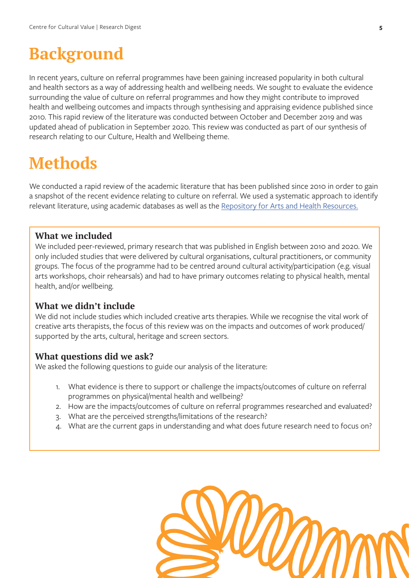#### <span id="page-4-0"></span>**Background**

In recent years, culture on referral programmes have been gaining increased popularity in both cultural and health sectors as a way of addressing health and wellbeing needs. We sought to evaluate the evidence surrounding the value of culture on referral programmes and how they might contribute to improved health and wellbeing outcomes and impacts through synthesising and appraising evidence published since 2010. This rapid review of the literature was conducted between October and December 2019 and was updated ahead of publication in September 2020. This review was conducted as part of our synthesis of research relating to our Culture, Health and Wellbeing theme.

#### **Methods**

We conducted a rapid review of the academic literature that has been published since 2010 in order to gain a snapshot of the recent evidence relating to culture on referral. We used a systematic approach to identify relevant literature, using academic databases as well as the [Repository for Arts and Health Resources.](https://www.artshealthresources.org.uk/)

#### **What we included**

We included peer-reviewed, primary research that was published in English between 2010 and 2020. We only included studies that were delivered by cultural organisations, cultural practitioners, or community groups. The focus of the programme had to be centred around cultural activity/participation (e.g. visual arts workshops, choir rehearsals) and had to have primary outcomes relating to physical health, mental health, and/or wellbeing.

#### **What we didn't include**

We did not include studies which included creative arts therapies. While we recognise the vital work of creative arts therapists, the focus of this review was on the impacts and outcomes of work produced/ supported by the arts, cultural, heritage and screen sectors.

#### **What questions did we ask?**

We asked the following questions to guide our analysis of the literature:

- 1. What evidence is there to support or challenge the impacts/outcomes of culture on referral programmes on physical/mental health and wellbeing?
- 2. How are the impacts/outcomes of culture on referral programmes researched and evaluated?
- 3. What are the perceived strengths/limitations of the research?
- 4. What are the current gaps in understanding and what does future research need to focus on?

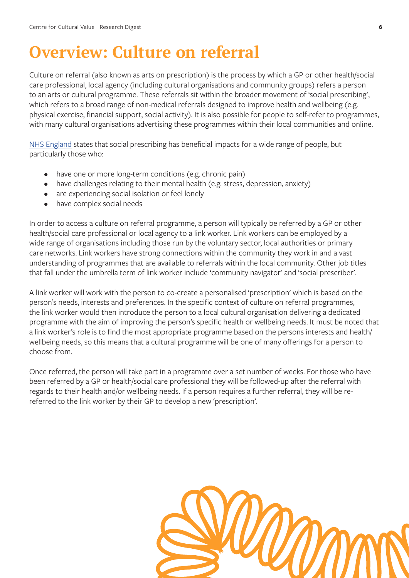#### <span id="page-5-0"></span>**Overview: Culture on referral**

Culture on referral (also known as arts on prescription) is the process by which a GP or other health/social care professional, local agency (including cultural organisations and community groups) refers a person to an arts or cultural programme. These referrals sit within the broader movement of 'social prescribing', which refers to a broad range of non-medical referrals designed to improve health and wellbeing (e.g. physical exercise, financial support, social activity). It is also possible for people to self-refer to programmes, with many cultural organisations advertising these programmes within their local communities and online.

[NHS England](https://www.england.nhs.uk/personalisedcare/social-prescribing/) states that social prescribing has beneficial impacts for a wide range of people, but particularly those who:

- have one or more long-term conditions (e.g. chronic pain)
- have challenges relating to their mental health (e.g. stress, depression, anxiety)
- are experiencing social isolation or feel lonely
- have complex social needs

In order to access a culture on referral programme, a person will typically be referred by a GP or other health/social care professional or local agency to a link worker. Link workers can be employed by a wide range of organisations including those run by the voluntary sector, local authorities or primary care networks. Link workers have strong connections within the community they work in and a vast understanding of programmes that are available to referrals within the local community. Other job titles that fall under the umbrella term of link worker include 'community navigator' and 'social prescriber'.

A link worker will work with the person to co-create a personalised 'prescription' which is based on the person's needs, interests and preferences. In the specific context of culture on referral programmes, the link worker would then introduce the person to a local cultural organisation delivering a dedicated programme with the aim of improving the person's specific health or wellbeing needs. It must be noted that a link worker's role is to find the most appropriate programme based on the persons interests and health/ wellbeing needs, so this means that a cultural programme will be one of many offerings for a person to choose from.

Once referred, the person will take part in a programme over a set number of weeks. For those who have been referred by a GP or health/social care professional they will be followed-up after the referral with regards to their health and/or wellbeing needs. If a person requires a further referral, they will be rereferred to the link worker by their GP to develop a new 'prescription'.

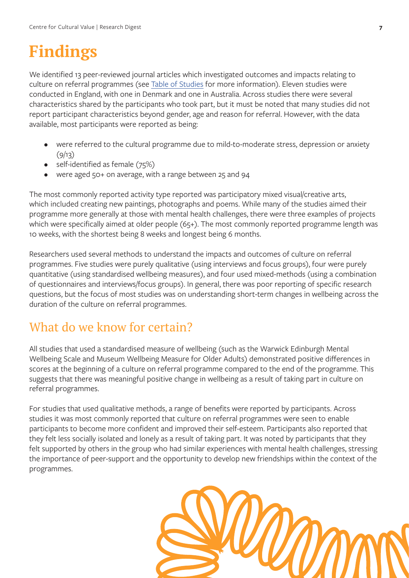### <span id="page-6-0"></span>**Findings**

We identified 13 peer-reviewed journal articles which investigated outcomes and impacts relating to culture on referral programmes (see [Table of Studies](#page-12-0) for more information). Eleven studies were conducted in England, with one in Denmark and one in Australia. Across studies there were several characteristics shared by the participants who took part, but it must be noted that many studies did not report participant characteristics beyond gender, age and reason for referral. However, with the data available, most participants were reported as being:

- were referred to the cultural programme due to mild-to-moderate stress, depression or anxiety  $(9/13)$
- self-identified as female (75%)
- were aged 50+ on average, with a range between 25 and 94

The most commonly reported activity type reported was participatory mixed visual/creative arts, which included creating new paintings, photographs and poems. While many of the studies aimed their programme more generally at those with mental health challenges, there were three examples of projects which were specifically aimed at older people (65+). The most commonly reported programme length was 10 weeks, with the shortest being 8 weeks and longest being 6 months.

Researchers used several methods to understand the impacts and outcomes of culture on referral programmes. Five studies were purely qualitative (using interviews and focus groups), four were purely quantitative (using standardised wellbeing measures), and four used mixed-methods (using a combination of questionnaires and interviews/focus groups). In general, there was poor reporting of specific research questions, but the focus of most studies was on understanding short-term changes in wellbeing across the duration of the culture on referral programmes.

#### What do we know for certain?

All studies that used a standardised measure of wellbeing (such as the Warwick Edinburgh Mental Wellbeing Scale and Museum Wellbeing Measure for Older Adults) demonstrated positive differences in scores at the beginning of a culture on referral programme compared to the end of the programme. This suggests that there was meaningful positive change in wellbeing as a result of taking part in culture on referral programmes.

For studies that used qualitative methods, a range of benefits were reported by participants. Across studies it was most commonly reported that culture on referral programmes were seen to enable participants to become more confident and improved their self-esteem. Participants also reported that they felt less socially isolated and lonely as a result of taking part. It was noted by participants that they felt supported by others in the group who had similar experiences with mental health challenges, stressing the importance of peer-support and the opportunity to develop new friendships within the context of the programmes.

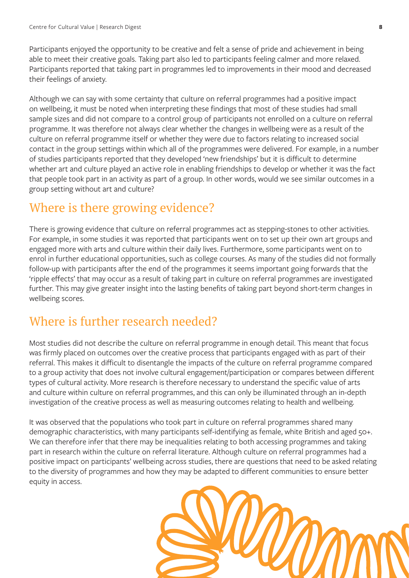<span id="page-7-0"></span>Participants enjoyed the opportunity to be creative and felt a sense of pride and achievement in being able to meet their creative goals. Taking part also led to participants feeling calmer and more relaxed. Participants reported that taking part in programmes led to improvements in their mood and decreased their feelings of anxiety.

Although we can say with some certainty that culture on referral programmes had a positive impact on wellbeing, it must be noted when interpreting these findings that most of these studies had small sample sizes and did not compare to a control group of participants not enrolled on a culture on referral programme. It was therefore not always clear whether the changes in wellbeing were as a result of the culture on referral programme itself or whether they were due to factors relating to increased social contact in the group settings within which all of the programmes were delivered. For example, in a number of studies participants reported that they developed 'new friendships' but it is difficult to determine whether art and culture played an active role in enabling friendships to develop or whether it was the fact that people took part in an activity as part of a group. In other words, would we see similar outcomes in a group setting without art and culture?

#### Where is there growing evidence?

There is growing evidence that culture on referral programmes act as stepping-stones to other activities. For example, in some studies it was reported that participants went on to set up their own art groups and engaged more with arts and culture within their daily lives. Furthermore, some participants went on to enrol in further educational opportunities, such as college courses. As many of the studies did not formally follow-up with participants after the end of the programmes it seems important going forwards that the 'ripple effects' that may occur as a result of taking part in culture on referral programmes are investigated further. This may give greater insight into the lasting benefits of taking part beyond short-term changes in wellbeing scores.

#### Where is further research needed?

Most studies did not describe the culture on referral programme in enough detail. This meant that focus was firmly placed on outcomes over the creative process that participants engaged with as part of their referral. This makes it difficult to disentangle the impacts of the culture on referral programme compared to a group activity that does not involve cultural engagement/participation or compares between different types of cultural activity. More research is therefore necessary to understand the specific value of arts and culture within culture on referral programmes, and this can only be illuminated through an in-depth investigation of the creative process as well as measuring outcomes relating to health and wellbeing.

It was observed that the populations who took part in culture on referral programmes shared many demographic characteristics, with many participants self-identifying as female, white British and aged 50+. We can therefore infer that there may be inequalities relating to both accessing programmes and taking part in research within the culture on referral literature. Although culture on referral programmes had a positive impact on participants' wellbeing across studies, there are questions that need to be asked relating to the diversity of programmes and how they may be adapted to different communities to ensure better equity in access.

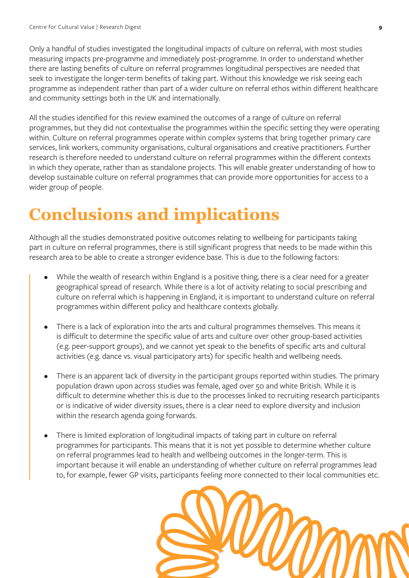<span id="page-8-0"></span>Only a handful of studies investigated the longitudinal impacts of culture on referral, with most studies measuring impacts pre-programme and immediately post-programme. In order to understand whether there are lasting benefits of culture on referral programmes longitudinal perspectives are needed that seek to investigate the longer-term benefits of taking part. Without this knowledge we risk seeing each programme as independent rather than part of a wider culture on referral ethos within different healthcare and community settings both in the UK and internationally.

All the studies identified for this review examined the outcomes of a range of culture on referral programmes, but they did not contextualise the programmes within the specific setting they were operating within. Culture on referral programmes operate within complex systems that bring together primary care services, link workers, community organisations, cultural organisations and creative practitioners. Further research is therefore needed to understand culture on referral programmes within the different contexts in which they operate, rather than as standalone projects. This will enable greater understanding of how to develop sustainable culture on referral programmes that can provide more opportunities for access to a wider group of people.

### **Conclusions and implications**

Although all the studies demonstrated positive outcomes relating to wellbeing for participants taking part in culture on referral programmes, there is still significant progress that needs to be made within this research area to be able to create a stronger evidence base. This is due to the following factors:

- While the wealth of research within England is a positive thing, there is a clear need for a greater geographical spread of research. While there is a lot of activity relating to social prescribing and culture on referral which is happening in England, it is important to understand culture on referral programmes within different policy and healthcare contexts globally.
- There is a lack of exploration into the arts and cultural programmes themselves. This means it is difficult to determine the specific value of arts and culture over other group-based activities (e.g. peer-support groups), and we cannot yet speak to the benefits of specific arts and cultural activities (e.g. dance vs. visual participatory arts) for specific health and wellbeing needs.
- There is an apparent lack of diversity in the participant groups reported within studies. The primary population drawn upon across studies was female, aged over 50 and white British. While it is difficult to determine whether this is due to the processes linked to recruiting research participants or is indicative of wider diversity issues, there is a clear need to explore diversity and inclusion within the research agenda going forwards.
- There is limited exploration of longitudinal impacts of taking part in culture on referral programmes for participants. This means that it is not yet possible to determine whether culture on referral programmes lead to health and wellbeing outcomes in the longer-term. This is important because it will enable an understanding of whether culture on referral programmes lead to, for example, fewer GP visits, participants feeling more connected to their local communities etc.

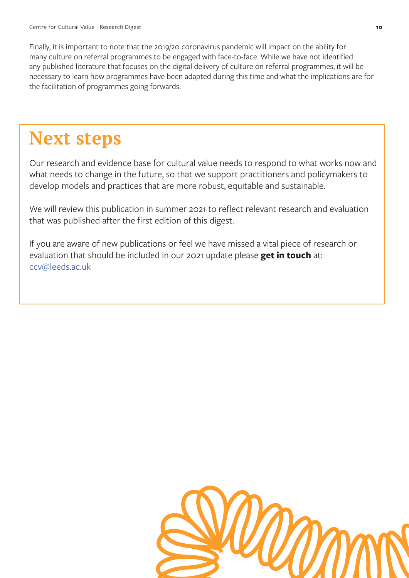<span id="page-9-0"></span>Finally, it is important to note that the 2019/20 coronavirus pandemic will impact on the ability for many culture on referral programmes to be engaged with face-to-face. While we have not identified any published literature that focuses on the digital delivery of culture on referral programmes, it will be necessary to learn how programmes have been adapted during this time and what the implications are for the facilitation of programmes going forwards.

## **Next steps**

Our research and evidence base for cultural value needs to respond to what works now and what needs to change in the future, so that we support practitioners and policymakers to develop models and practices that are more robust, equitable and sustainable.

We will review this publication in summer 2021 to reflect relevant research and evaluation that was published after the first edition of this digest.

If you are aware of new publications or feel we have missed a vital piece of research or evaluation that should be included in our 2021 update please **get in touch** at: [ccv@leeds.ac.uk](mailto:ccv%40leeds.ac.uk?subject=)

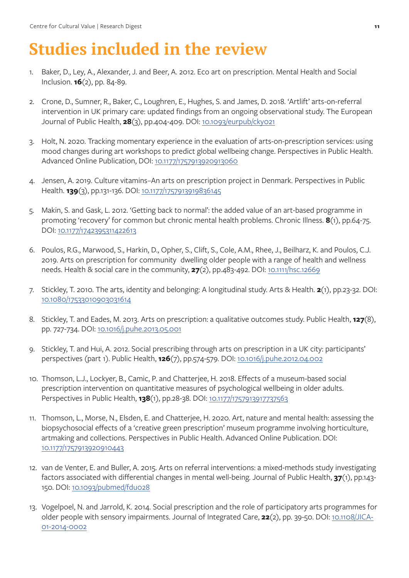# **Studies included in the review**

- 1. Baker, D., Ley, A., Alexander, J. and Beer, A. 2012. Eco art on prescription. Mental Health and Social Inclusion. **16**(2), pp. 84-89.
- 2. Crone, D., Sumner, R., Baker, C., Loughren, E., Hughes, S. and James, D. 2018. 'Artlift' arts-on-referral intervention in UK primary care: updated findings from an ongoing observational study. The European Journal of Public Health, **28**(3), pp.404-409. DOI: [10.1093/eurpub/cky021](https://doi.org/10.1093/eurpub/cky021)
- 3. Holt, N. 2020. Tracking momentary experience in the evaluation of arts-on-prescription services: using mood changes during art workshops to predict global wellbeing change. Perspectives in Public Health. Advanced Online Publication, DOI: [10.1177/1757913920913060](https://doi.org/10.1177%2F1757913920913060)
- 4. Jensen, A. 2019. Culture vitamins–An arts on prescription project in Denmark. Perspectives in Public Health. **139**(3), pp.131-136. DOI: [10.1177/1757913919836145](https://doi.org/10.1177%2F1757913919836145)
- 5. Makin, S. and Gask, L. 2012. 'Getting back to normal': the added value of an art-based programme in promoting 'recovery' for common but chronic mental health problems. Chronic Illness. **8**(1), pp.64-75. DOI: [10.1177/1742395311422613](https://doi.org/10.1177%2F1742395311422613)
- 6. Poulos, R.G., Marwood, S., Harkin, D., Opher, S., Clift, S., Cole, A.M., Rhee, J., Beilharz, K. and Poulos, C.J. 2019. Arts on prescription for community dwelling older people with a range of health and wellness needs. Health & social care in the community, **27**(2), pp.483-492. DOI: [10.1111/hsc.12669](https://doi.org/10.1111/hsc.12669)
- 7. Stickley, T. 2010. The arts, identity and belonging: A longitudinal study. Arts & Health. **2**(1), pp.23-32. DOI: [10.1080/17533010903031614](https://doi.org/10.1080/17533010903031614)
- 8. Stickley, T. and Eades, M. 2013. Arts on prescription: a qualitative outcomes study. Public Health, **127**(8), pp. 727-734. DOI: [10.1016/j.puhe.2013.05.001](https://doi.org/10.1016/j.puhe.2013.05.001)
- 9. Stickley, T. and Hui, A. 2012. Social prescribing through arts on prescription in a UK city: participants' perspectives (part 1). Public Health, **126**(7), pp.574-579. DOI: [10.1016/j.puhe.2012.04.002](https://doi.org/10.1016/j.puhe.2012.04.002)
- 10. Thomson, L.J., Lockyer, B., Camic, P. and Chatterjee, H. 2018. Effects of a museum-based social prescription intervention on quantitative measures of psychological wellbeing in older adults. Perspectives in Public Health, **138**(1), pp.28-38. DOI: [10.1177/1757913917737563](https://doi.org/10.1177%2F1757913917737563)
- 11. Thomson, L., Morse, N., Elsden, E. and Chatterjee, H. 2020. Art, nature and mental health: assessing the biopsychosocial effects of a 'creative green prescription' museum programme involving horticulture, artmaking and collections. Perspectives in Public Health. Advanced Online Publication. DOI: [10.1177/1757913920910443](https://doi.org/10.1177%2F1757913920910443)
- 12. van de Venter, E. and Buller, A. 2015. Arts on referral interventions: a mixed-methods study investigating factors associated with differential changes in mental well-being. Journal of Public Health, **37**(1), pp.143- 150. DOI: [10.1093/pubmed/fdu028](https://doi.org/10.1093/pubmed/fdu028)
- 13. Vogelpoel, N. and Jarrold, K. 2014. Social prescription and the role of participatory arts programmes for older people with sensory impairments. Journal of Integrated Care, **22**(2), pp. 39-50. DOI: [10.1108/JICA-](https://doi.org/10.1108/JICA-01-2014-0002)[01-2014-0002](https://doi.org/10.1108/JICA-01-2014-0002)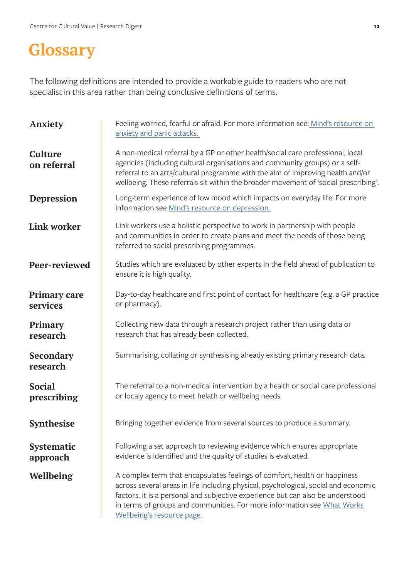### <span id="page-11-0"></span>**Glossary**

The following definitions are intended to provide a workable guide to readers who are not specialist in this area rather than being conclusive definitions of terms.

| Anxiety                         | Feeling worried, fearful or afraid. For more information see: Mind's resource on<br>anxiety and panic attacks.                                                                                                                                                                                                                                              |  |  |  |  |
|---------------------------------|-------------------------------------------------------------------------------------------------------------------------------------------------------------------------------------------------------------------------------------------------------------------------------------------------------------------------------------------------------------|--|--|--|--|
| Culture<br>on referral          | A non-medical referral by a GP or other health/social care professional, local<br>agencies (including cultural organisations and community groups) or a self-<br>referral to an arts/cultural programme with the aim of improving health and/or<br>wellbeing. These referrals sit within the broader movement of 'social prescribing'.                      |  |  |  |  |
| <b>Depression</b>               | Long-term experience of low mood which impacts on everyday life. For more<br>information see Mind's resource on depression.                                                                                                                                                                                                                                 |  |  |  |  |
| <b>Link worker</b>              | Link workers use a holistic perspective to work in partnership with people<br>and communities in order to create plans and meet the needs of those being<br>referred to social prescribing programmes.                                                                                                                                                      |  |  |  |  |
| Peer-reviewed                   | Studies which are evaluated by other experts in the field ahead of publication to<br>ensure it is high quality.                                                                                                                                                                                                                                             |  |  |  |  |
| <b>Primary care</b><br>services | Day-to-day healthcare and first point of contact for healthcare (e.g. a GP practice<br>or pharmacy).                                                                                                                                                                                                                                                        |  |  |  |  |
| <b>Primary</b><br>research      | Collecting new data through a research project rather than using data or<br>research that has already been collected.                                                                                                                                                                                                                                       |  |  |  |  |
| <b>Secondary</b><br>research    | Summarising, collating or synthesising already existing primary research data.                                                                                                                                                                                                                                                                              |  |  |  |  |
| <b>Social</b><br>prescribing    | The referral to a non-medical intervention by a health or social care professional<br>or localy agency to meet helath or wellbeing needs                                                                                                                                                                                                                    |  |  |  |  |
| <b>Synthesise</b>               | Bringing together evidence from several sources to produce a summary.                                                                                                                                                                                                                                                                                       |  |  |  |  |
| <b>Systematic</b><br>approach   | Following a set approach to reviewing evidence which ensures appropriate<br>evidence is identified and the quality of studies is evaluated.                                                                                                                                                                                                                 |  |  |  |  |
| <b>Wellbeing</b>                | A complex term that encapsulates feelings of comfort, health or happiness<br>across several areas in life including physical, psychological, social and economic<br>factors. It is a personal and subjective experience but can also be understood<br>in terms of groups and communities. For more information see What Works<br>Wellbeing's resource page. |  |  |  |  |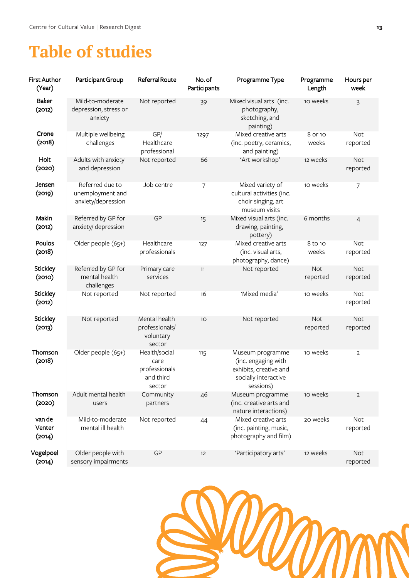#### <span id="page-12-0"></span>**Table of studies**

| <b>First Author</b><br>(Year) | Participant Group                                         | Referral Route                                                | No. of<br>Participants | Programme Type                                                                                         | Programme<br>Length    | Hours per<br>week      |
|-------------------------------|-----------------------------------------------------------|---------------------------------------------------------------|------------------------|--------------------------------------------------------------------------------------------------------|------------------------|------------------------|
| <b>Baker</b><br>(2012)        | Mild-to-moderate<br>depression, stress or<br>anxiety      | Not reported                                                  | 39                     | Mixed visual arts (inc.<br>photography,<br>sketching, and<br>painting)                                 | 10 weeks               | 3                      |
| Crone<br>(2018)               | Multiple wellbeing<br>challenges                          | GP/<br>Healthcare<br>professional                             | 1297                   | Mixed creative arts<br>(inc. poetry, ceramics,<br>and painting)                                        | 8 or 10<br>weeks       | Not<br>reported        |
| Holt<br>(2020)                | Adults with anxiety<br>and depression                     | Not reported                                                  | 66                     | 'Art workshop'                                                                                         | 12 weeks               | <b>Not</b><br>reported |
| Jensen<br>(2019)              | Referred due to<br>unemployment and<br>anxiety/depression | Job centre                                                    | $\overline{7}$         | Mixed variety of<br>cultural activities (inc.<br>choir singing, art<br>museum visits                   | 10 weeks               | 7                      |
| Makin<br>(2012)               | Referred by GP for<br>anxiety/ depression                 | GP                                                            | 15                     | Mixed visual arts (inc.<br>drawing, painting,<br>pottery)                                              | 6 months               | $\overline{4}$         |
| Poulos<br>(2018)              | Older people (65+)                                        | Healthcare<br>professionals                                   | 127                    | Mixed creative arts<br>(inc. visual arts,<br>photography, dance)                                       | 8 to 10<br>weeks       | <b>Not</b><br>reported |
| <b>Stickley</b><br>(2010)     | Referred by GP for<br>mental health<br>challenges         | Primary care<br>services                                      | 11                     | Not reported                                                                                           | <b>Not</b><br>reported | <b>Not</b><br>reported |
| <b>Stickley</b><br>(2012)     | Not reported                                              | Not reported                                                  | 16                     | 'Mixed media'                                                                                          | 10 weeks               | <b>Not</b><br>reported |
| <b>Stickley</b><br>(2013)     | Not reported                                              | Mental health<br>professionals/<br>voluntary<br>sector        | 10                     | Not reported                                                                                           | <b>Not</b><br>reported | <b>Not</b><br>reported |
| Thomson<br>(2018)             | Older people (65+)                                        | Health/social<br>care<br>professionals<br>and third<br>sector | 115                    | Museum programme<br>(inc. engaging with<br>exhibits, creative and<br>socially interactive<br>sessions) | 10 weeks               | $\overline{2}$         |
| Thomson<br>(2020)             | Adult mental health<br>users                              | Community<br>partners                                         | 46                     | Museum programme<br>(inc. creative arts and<br>nature interactions)                                    | 10 weeks               | $\overline{2}$         |
| van de<br>Venter<br>(2014)    | Mild-to-moderate<br>mental ill health                     | Not reported                                                  | 44                     | Mixed creative arts<br>(inc. painting, music,<br>photography and film)                                 | 20 weeks               | <b>Not</b><br>reported |
| Vogelpoel<br>(2014)           | Older people with<br>sensory impairments                  | GP                                                            | 12                     | 'Participatory arts'                                                                                   | 12 weeks               | Not<br>reported        |